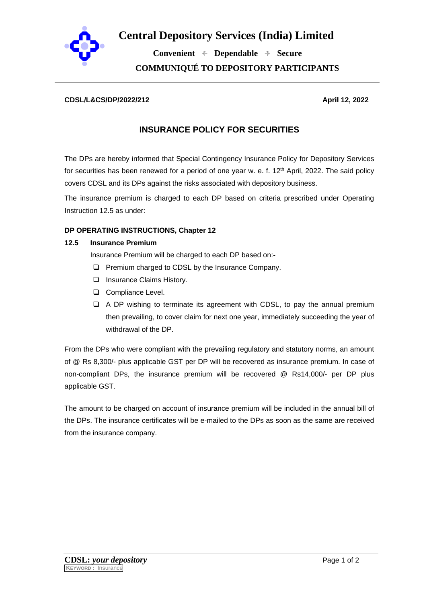

**Central Depository Services (India) Limited**

 **Convenient Dependable Secure COMMUNIQUÉ TO DEPOSITORY PARTICIPANTS**

#### **CDSL/L&CS/DP/2022/212 April 12, 2022**

# **INSURANCE POLICY FOR SECURITIES**

The DPs are hereby informed that Special Contingency Insurance Policy for Depository Services for securities has been renewed for a period of one year w. e. f.  $12<sup>th</sup>$  April, 2022. The said policy covers CDSL and its DPs against the risks associated with depository business.

The insurance premium is charged to each DP based on criteria prescribed under Operating Instruction 12.5 as under:

## **DP OPERATING INSTRUCTIONS, Chapter 12**

#### **12.5 Insurance Premium**

Insurance Premium will be charged to each DP based on:-

- ❑ Premium charged to CDSL by the Insurance Company.
- ❑ Insurance Claims History.
- ❑ Compliance Level.
- ❑ A DP wishing to terminate its agreement with CDSL, to pay the annual premium then prevailing, to cover claim for next one year, immediately succeeding the year of withdrawal of the DP.

From the DPs who were compliant with the prevailing regulatory and statutory norms, an amount of @ Rs 8,300/- plus applicable GST per DP will be recovered as insurance premium. In case of non-compliant DPs, the insurance premium will be recovered @ Rs14,000/- per DP plus applicable GST.

The amount to be charged on account of insurance premium will be included in the annual bill of the DPs. The insurance certificates will be e-mailed to the DPs as soon as the same are received from the insurance company.